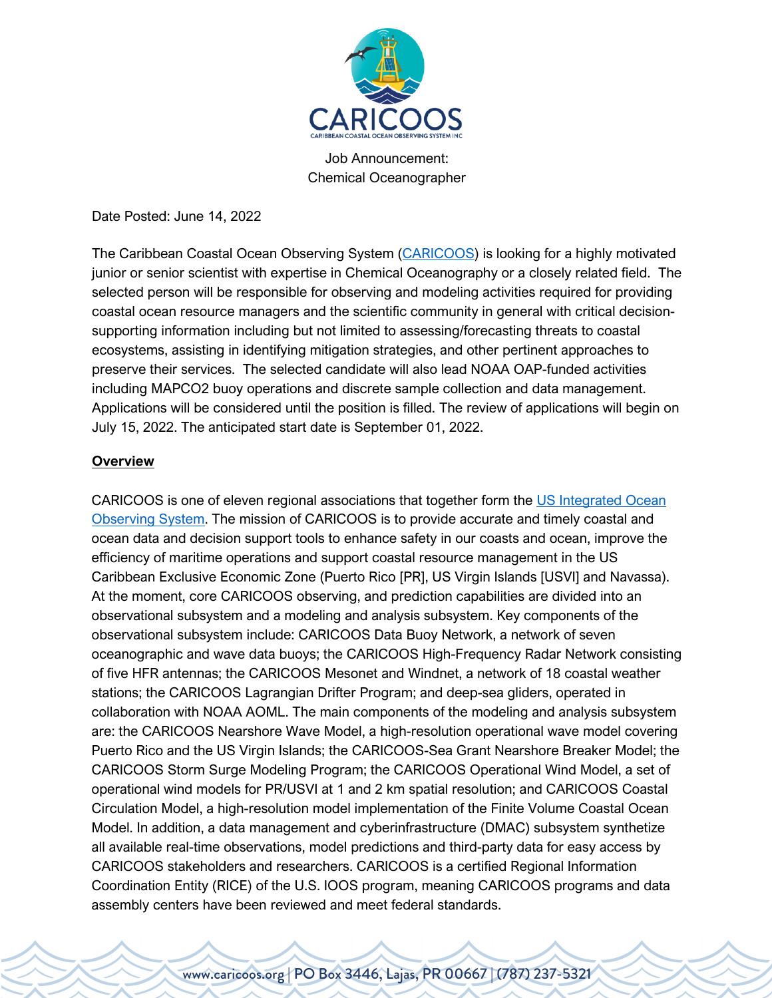

Job Announcement: Chemical Oceanographer

Date Posted: June 14, 2022

The Caribbean Coastal Ocean Observing System (CARICOOS) is looking for a highly motivated junior or senior scientist with expertise in Chemical Oceanography or a closely related field. The selected person will be responsible for observing and modeling activities required for providing coastal ocean resource managers and the scientific community in general with critical decisionsupporting information including but not limited to assessing/forecasting threats to coastal ecosystems, assisting in identifying mitigation strategies, and other pertinent approaches to preserve their services. The selected candidate will also lead NOAA OAP-funded activities including MAPCO2 buoy operations and discrete sample collection and data management. Applications will be considered until the position is filled. The review of applications will begin on July 15, 2022. The anticipated start date is September 01, 2022.

## **Overview**

CARICOOS is one of eleven regional associations that together form the US Integrated Ocean Observing System. The mission of CARICOOS is to provide accurate and timely coastal and ocean data and decision support tools to enhance safety in our coasts and ocean, improve the efficiency of maritime operations and support coastal resource management in the US Caribbean Exclusive Economic Zone (Puerto Rico [PR], US Virgin Islands [USVI] and Navassa). At the moment, core CARICOOS observing, and prediction capabilities are divided into an observational subsystem and a modeling and analysis subsystem. Key components of the observational subsystem include: CARICOOS Data Buoy Network, a network of seven oceanographic and wave data buoys; the CARICOOS High-Frequency Radar Network consisting of five HFR antennas; the CARICOOS Mesonet and Windnet, a network of 18 coastal weather stations; the CARICOOS Lagrangian Drifter Program; and deep-sea gliders, operated in collaboration with NOAA AOML. The main components of the modeling and analysis subsystem are: the CARICOOS Nearshore Wave Model, a high-resolution operational wave model covering Puerto Rico and the US Virgin Islands; the CARICOOS-Sea Grant Nearshore Breaker Model; the CARICOOS Storm Surge Modeling Program; the CARICOOS Operational Wind Model, a set of operational wind models for PR/USVI at 1 and 2 km spatial resolution; and CARICOOS Coastal Circulation Model, a high-resolution model implementation of the Finite Volume Coastal Ocean Model. In addition, a data management and cyberinfrastructure (DMAC) subsystem synthetize all available real-time observations, model predictions and third-party data for easy access by CARICOOS stakeholders and researchers. CARICOOS is a certified Regional Information Coordination Entity (RICE) of the U.S. IOOS program, meaning CARICOOS programs and data assembly centers have been reviewed and meet federal standards.